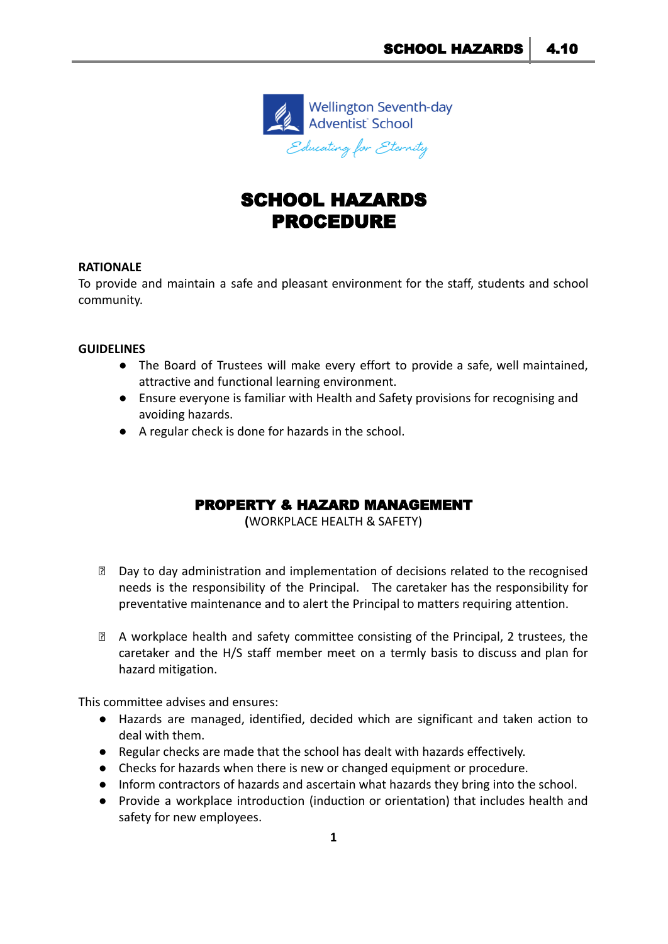

# SCHOOL HAZARDS PROCEDURE

#### **RATIONALE**

To provide and maintain a safe and pleasant environment for the staff, students and school community.

#### **GUIDELINES**

- The Board of Trustees will make every effort to provide a safe, well maintained, attractive and functional learning environment.
- Ensure everyone is familiar with Health and Safety provisions for recognising and avoiding hazards.
- A regular check is done for hazards in the school.

## PROPERTY & HAZARD MANAGEMENT

**(**WORKPLACE HEALTH & SAFETY)

- ⮚ Day to day administration and implementation of decisions related to the recognised needs is the responsibility of the Principal. The caretaker has the responsibility for preventative maintenance and to alert the Principal to matters requiring attention.
- ⮚ A workplace health and safety committee consisting of the Principal, 2 trustees, the caretaker and the H/S staff member meet on a termly basis to discuss and plan for hazard mitigation.

This committee advises and ensures:

- Hazards are managed, identified, decided which are significant and taken action to deal with them.
- Regular checks are made that the school has dealt with hazards effectively.
- Checks for hazards when there is new or changed equipment or procedure.
- Inform contractors of hazards and ascertain what hazards they bring into the school.
- Provide a workplace introduction (induction or orientation) that includes health and safety for new employees.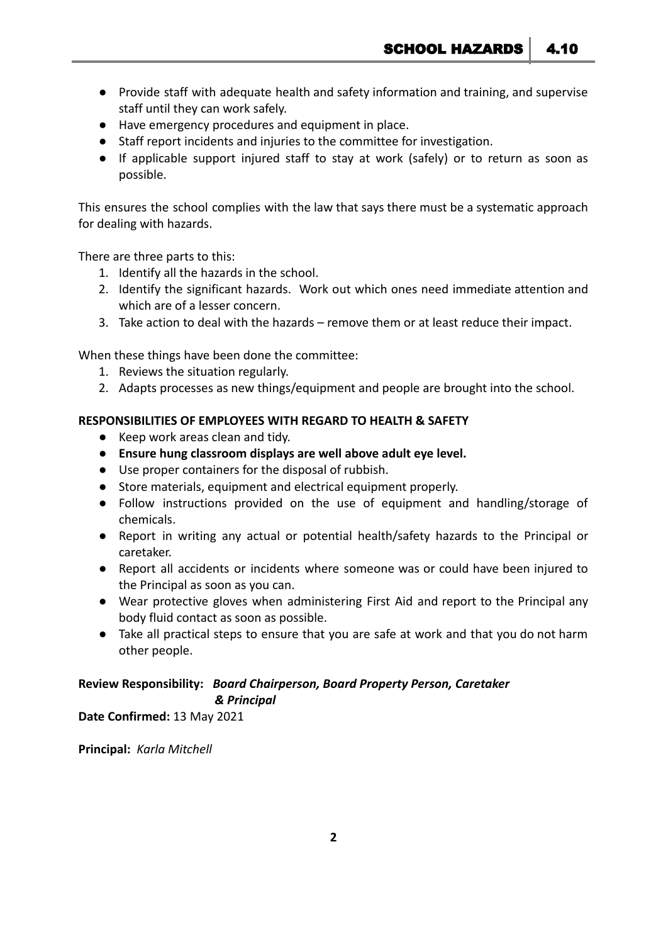- Provide staff with adequate health and safety information and training, and supervise staff until they can work safely.
- Have emergency procedures and equipment in place.
- Staff report incidents and injuries to the committee for investigation.
- If applicable support injured staff to stay at work (safely) or to return as soon as possible.

This ensures the school complies with the law that says there must be a systematic approach for dealing with hazards.

There are three parts to this:

- 1. Identify all the hazards in the school.
- 2. Identify the significant hazards. Work out which ones need immediate attention and which are of a lesser concern.
- 3. Take action to deal with the hazards remove them or at least reduce their impact.

When these things have been done the committee:

- 1. Reviews the situation regularly.
- 2. Adapts processes as new things/equipment and people are brought into the school.

#### **RESPONSIBILITIES OF EMPLOYEES WITH REGARD TO HEALTH & SAFETY**

- Keep work areas clean and tidy.
- **● Ensure hung classroom displays are well above adult eye level.**
- Use proper containers for the disposal of rubbish.
- Store materials, equipment and electrical equipment properly.
- Follow instructions provided on the use of equipment and handling/storage of chemicals.
- Report in writing any actual or potential health/safety hazards to the Principal or caretaker.
- Report all accidents or incidents where someone was or could have been injured to the Principal as soon as you can.
- Wear protective gloves when administering First Aid and report to the Principal any body fluid contact as soon as possible.
- Take all practical steps to ensure that you are safe at work and that you do not harm other people.

### **Review Responsibility:** *Board Chairperson, Board Property Person, Caretaker & Principal*

**Date Confirmed:** 13 May 2021

**Principal:** *Karla Mitchell*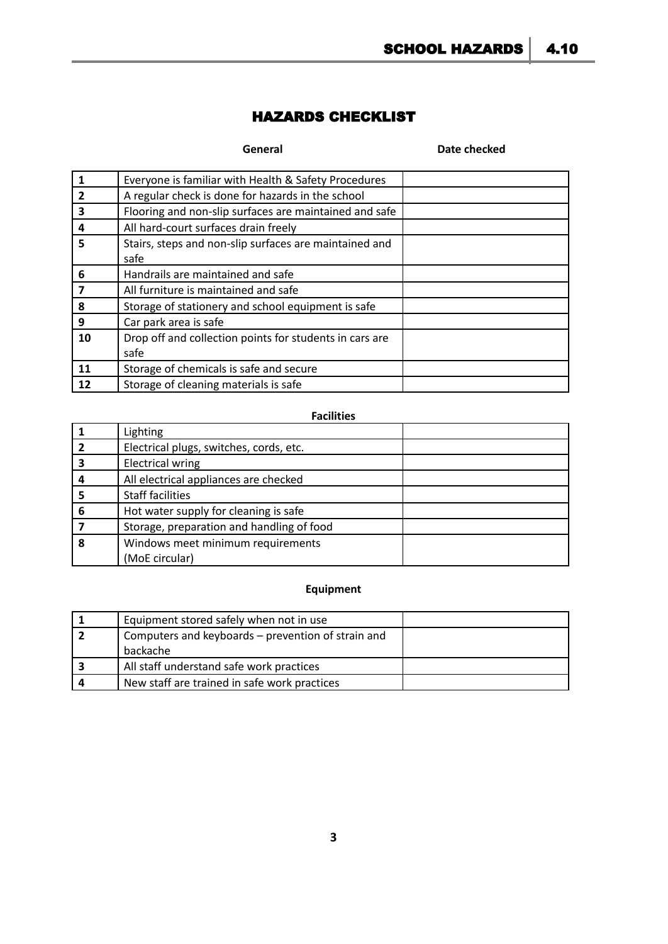## HAZARDS CHECKLIST

#### **General Date checked**

|                | Everyone is familiar with Health & Safety Procedures    |  |  |  |
|----------------|---------------------------------------------------------|--|--|--|
| $\overline{2}$ | A regular check is done for hazards in the school       |  |  |  |
| 3              | Flooring and non-slip surfaces are maintained and safe  |  |  |  |
| 4              | All hard-court surfaces drain freely                    |  |  |  |
| 5              | Stairs, steps and non-slip surfaces are maintained and  |  |  |  |
|                | safe                                                    |  |  |  |
| 6              | Handrails are maintained and safe                       |  |  |  |
| 7              | All furniture is maintained and safe                    |  |  |  |
| 8              | Storage of stationery and school equipment is safe      |  |  |  |
| 9              | Car park area is safe                                   |  |  |  |
| 10             | Drop off and collection points for students in cars are |  |  |  |
|                | safe                                                    |  |  |  |
| 11             | Storage of chemicals is safe and secure                 |  |  |  |
| 12             | Storage of cleaning materials is safe                   |  |  |  |

## **Facilities**

|   | Lighting                                  |  |  |  |
|---|-------------------------------------------|--|--|--|
|   | Electrical plugs, switches, cords, etc.   |  |  |  |
|   | <b>Electrical wring</b>                   |  |  |  |
|   | All electrical appliances are checked     |  |  |  |
|   | <b>Staff facilities</b>                   |  |  |  |
| 6 | Hot water supply for cleaning is safe     |  |  |  |
|   | Storage, preparation and handling of food |  |  |  |
|   | Windows meet minimum requirements         |  |  |  |
|   | (MoE circular)                            |  |  |  |

## **Equipment**

| Equipment stored safely when not in use            |  |  |
|----------------------------------------------------|--|--|
| Computers and keyboards – prevention of strain and |  |  |
| backache                                           |  |  |
| All staff understand safe work practices           |  |  |
| New staff are trained in safe work practices       |  |  |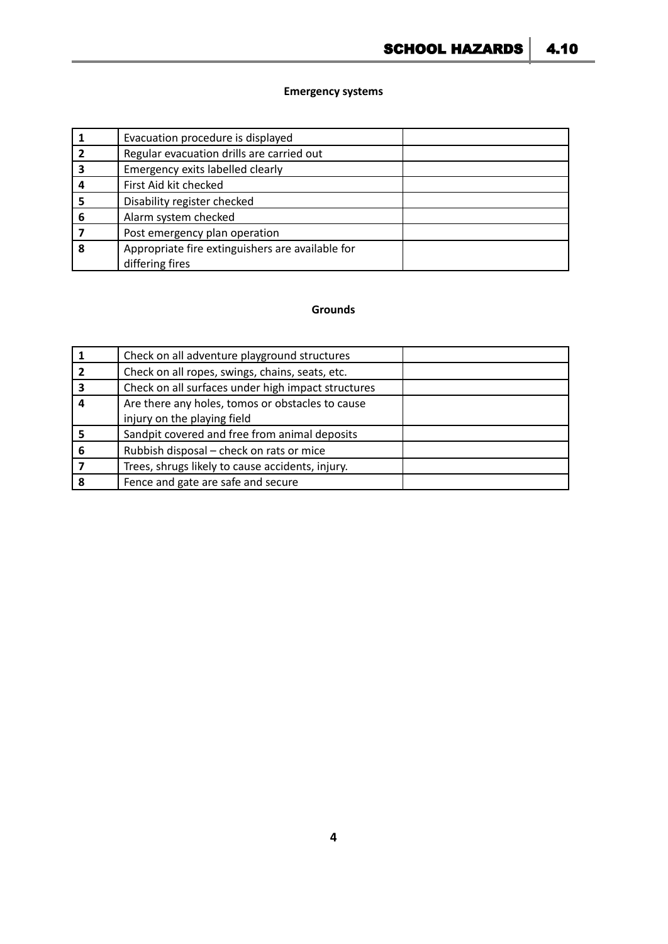#### **Emergency systems**

|   | Evacuation procedure is displayed                |  |  |  |
|---|--------------------------------------------------|--|--|--|
|   | Regular evacuation drills are carried out        |  |  |  |
|   | Emergency exits labelled clearly                 |  |  |  |
|   | First Aid kit checked                            |  |  |  |
|   | Disability register checked                      |  |  |  |
| 6 | Alarm system checked                             |  |  |  |
|   | Post emergency plan operation                    |  |  |  |
| 8 | Appropriate fire extinguishers are available for |  |  |  |
|   | differing fires                                  |  |  |  |

#### **Grounds**

|   | Check on all adventure playground structures       |  |  |  |
|---|----------------------------------------------------|--|--|--|
|   | Check on all ropes, swings, chains, seats, etc.    |  |  |  |
| 3 | Check on all surfaces under high impact structures |  |  |  |
|   | Are there any holes, tomos or obstacles to cause   |  |  |  |
|   | injury on the playing field                        |  |  |  |
|   | Sandpit covered and free from animal deposits      |  |  |  |
| 6 | Rubbish disposal - check on rats or mice           |  |  |  |
|   | Trees, shrugs likely to cause accidents, injury.   |  |  |  |
|   | Fence and gate are safe and secure                 |  |  |  |